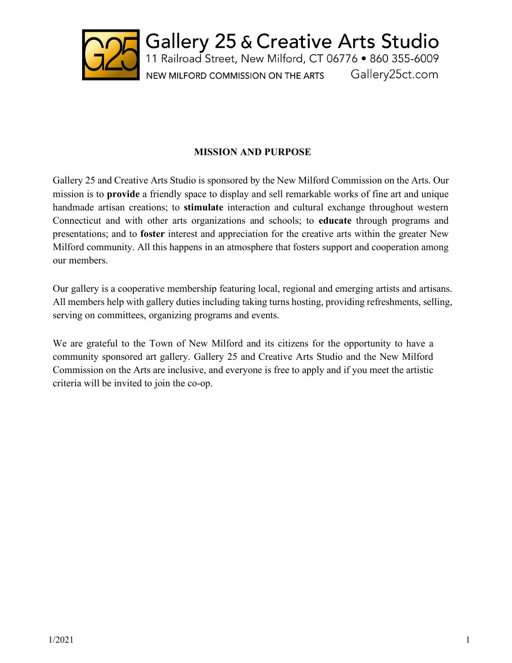

Gallery 25 & Creative Arts Studio<br>11 Railroad Street, New Milford, CT 06776 • 860 355-6009 NEW MILFORD COMMISSION ON THE ARTS Gallery25ct.com

### **MISSION AND PURPOSE**

Gallery 25 and Creative Arts Studio is sponsored by the New Milford Commission on the Arts. Our mission is to **provide** a friendly space to display and sell remarkable works of fine art and unique handmade artisan creations; to **stimulate** interaction and cultural exchange throughout western Connecticut and with other arts organizations and schools; to **educate** through programs and presentations; and to **foster** interest and appreciation for the creative arts within the greater New Milford community. All this happens in an atmosphere that fosters support and cooperation among our members.

Our gallery is a cooperative membership featuring local, regional and emerging artists and artisans. All members help with gallery duties including taking turns hosting, providing refreshments, selling, serving on committees, organizing programs and events.

We are grateful to the Town of New Milford and its citizens for the opportunity to have a community sponsored art gallery. Gallery 25 and Creative Arts Studio and the New Milford Commission on the Arts are inclusive, and everyone is free to apply and if you meet the artistic criteria will be invited to join the co-op.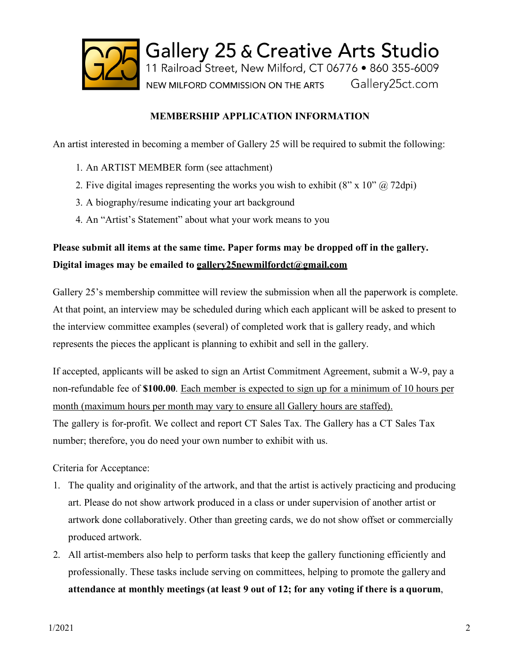

### **MEMBERSHIP APPLICATION INFORMATION**

An artist interested in becoming a member of Gallery 25 will be required to submit the following:

- 1. An ARTIST MEMBER form (see attachment)
- 2. Five digital images representing the works you wish to exhibit  $(8'' \times 10'' \omega, 72 \text{dpi})$
- 3. A biography/resume indicating your art background
- 4. An "Artist's Statement" about what your work means to you

## **Please submit all items at the same time. Paper forms may be dropped off in the gallery. Digital images may be emailed to gallery25newmilfordct@gmail.com**

Gallery 25's membership committee will review the submission when all the paperwork is complete. At that point, an interview may be scheduled during which each applicant will be asked to present to the interview committee examples (several) of completed work that is gallery ready, and which represents the pieces the applicant is planning to exhibit and sell in the gallery.

If accepted, applicants will be asked to sign an Artist Commitment Agreement, submit a W-9, pay a non-refundable fee of **\$100.00**. Each member is expected to sign up for a minimum of 10 hours per month (maximum hours per month may vary to ensure all Gallery hours are staffed). The gallery is for-profit. We collect and report CT Sales Tax. The Gallery has a CT Sales Tax number; therefore, you do need your own number to exhibit with us.

Criteria for Acceptance:

- 1. The quality and originality of the artwork, and that the artist is actively practicing and producing art. Please do not show artwork produced in a class or under supervision of another artist or artwork done collaboratively. Other than greeting cards, we do not show offset or commercially produced artwork.
- 2. All artist-members also help to perform tasks that keep the gallery functioning efficiently and professionally. These tasks include serving on committees, helping to promote the gallery and **attendance at monthly meetings (at least 9 out of 12; for any voting if there is a quorum**,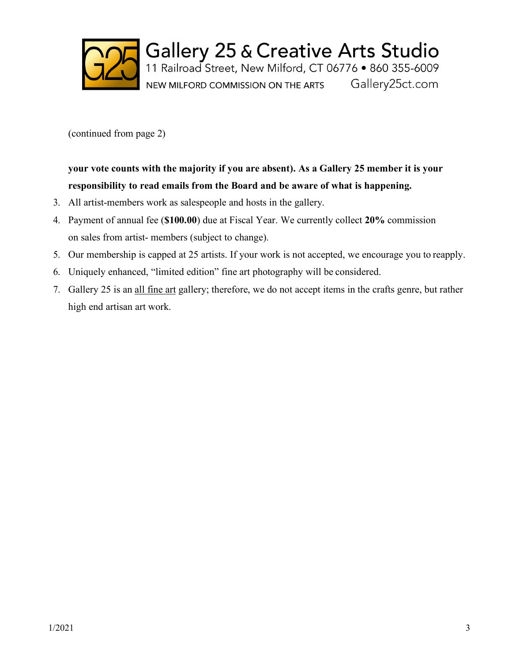

Gallery 25 & Creative Arts Studio<br>11 Railroad Street, New Milford, CT 06776 • 860 355-6009 NEW MILFORD COMMISSION ON THE ARTS Gallery25ct.com

(continued from page 2)

# **your vote counts with the majority if you are absent). As a Gallery 25 member it is your responsibility to read emails from the Board and be aware of what is happening.**

- 3. All artist-members work as salespeople and hosts in the gallery.
- 4. Payment of annual fee (**\$100.00**) due at Fiscal Year. We currently collect **20%** commission on sales from artist- members (subject to change).
- 5. Our membership is capped at 25 artists. If your work is not accepted, we encourage you to reapply.
- 6. Uniquely enhanced, "limited edition" fine art photography will be considered.
- 7. Gallery 25 is an all fine art gallery; therefore, we do not accept items in the crafts genre, but rather high end artisan art work.